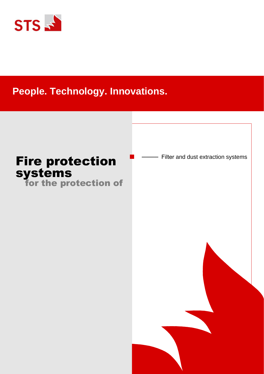

# **People. Technology. Innovations.**

# Fire protection **Fig.** Filter and dust extraction systems systems

for the protection of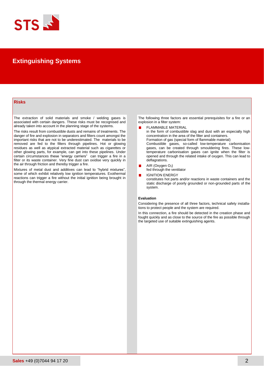

# **Extinguishing Systems**

# **Risks**

The extraction of solid materials and smoke / welding gases is associated with certain dangers. These risks must be recognised and already taken into account in the planning stage of the systems.

The risks result from combustible dusts and remains of treatments. The danger of fire and explosion in separators and filters count amongst the important risks that are not to be underestimated. The materials to be removed are fed to the filters through pipelines. Hot or glowing residues as well as atypical extracted material such as cigarettes or other glowing parts, for example, can get into these pipelines. Under certain circumstances these "energy carriers" can trigger a fire in a filter or its waste container. Very fine dust can oxidise very quickly in the air through friction and thereby trigger a fire.

Mixtures of metal dust and additives can lead to "hybrid mixtures" some of which exhibit relatively low ignition temperatures. Exothermal reactions can trigger a fire without the initial ignition being brought in through the thermal energy carrier.

The following three factors are essential prerequisites for a fire or an explosion in a filter system:

- FLAMMABLE MATERIAL
- in the form of combustible slag and dust with an especially high concentration in the area of the filter and containers. Formation of gas (special form of flammable material) Combustible gases, so-called low-temperature carbonisation gases, can be created through smouldering fires. These lowtemperature carbonisation gases can ignite when the filter is opened and through the related intake of oxygen. This can lead to
- deflagrations.  $\blacksquare$ AIR (Oxygen  $O_2$ )
	- fed through the ventilator
- IGNITION ENERGY п constitutes hot parts and/or reactions in waste containers and the static discharge of poorly grounded or non-grounded parts of the system.

### **Evaluation**

Considering the presence of all three factors, technical safety installations to protect people and the system are required.

In this connection, a fire should be detected in the creation phase and fought quickly and as close to the source of the fire as possible through the targeted use of suitable extinguishing agents.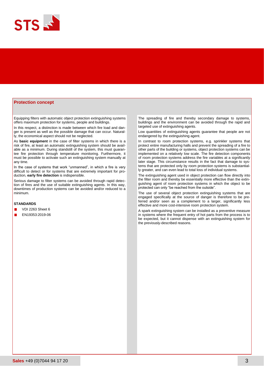

## **Protection concept**

Equipping filters with automatic object protection extinguishing systems offers maximum protection for systems, people and buildings.

In this respect, a distinction is made between which fire load and danger is present as well as the possible damage that can occur. Naturally, the economical aspect should not be neglected.

As **basic equipment** in the case of filter systems in which there is a risk of fire, at least an automatic extinguishing system should be available as a minimum. During standstill of the system, this must guarantee fire protection through temperature monitoring. Furthermore, it must be possible to activate such an extinguishing system manually at any time.

In the case of systems that work "unmanned", in which a fire is very difficult to detect or for systems that are extremely important for production, **early fire detection** is indispensible.

Serious damage to filter systems can be avoided through rapid detection of fires and the use of suitable extinguishing agents. In this way, downtimes of production systems can be avoided and/or reduced to a minimum.

## **STANDARDS**

- VDI 2263 Sheet 6
- EN19353:2019-06

The spreading of fire and thereby secondary damage to systems, buildings and the environment can be avoided through the rapid and targeted use of extinguishing agents.

Low quantities of extinguishing agents guarantee that people are not endangered by the extinguishing agent.

In contrast to room protection systems, e.g. sprinkler systems that protect entire manufacturing halls and prevent the spreading of a fire to other parts of the building or systems, object protection systems can be implemented on a relatively low scale. The fire detection components of room protection systems address the fire variables at a significantly later stage. This circumstance results in the fact that damage to systems that are protected only by room protection systems is substantially greater, and can even lead to total loss of individual systems.

The extinguishing agent used in object protection can flow directly into the filter room and thereby be essentially more effective than the extinguishing agent of room protection systems in which the object to be protected can only "be reached from the outside".

The use of several object protection extinguishing systems that are engaged specifically at the source of danger is therefore to be preferred and/or seen as a complement to a larger, significantly less effective and more cost-intensive room protection system.

A spark extinguishing system can be installed as a preventive measure in systems where the frequent entry of hot parts from the process is to be expected, but it cannot dispense with an extinguishing system for the previously-described reasons.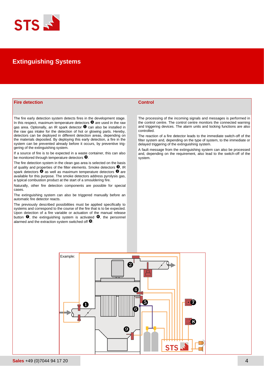

# **Extinguishing Systems**

# **Fire detection Control**

The fire early detection system detects fires in the development stage. In this respect, maximum temperature detectors  $\bullet$  are used in the raw gas area. Optionally, an IR spark detector  $\bullet$  can also be installed in the raw gas intake for the detection of hot or glowing parts. Hereby, detectors can be deployed in different detection areas, depending on the materials deposited. By deploying this early detection, a fire in the system can be prevented already before it occurs, by preventive triggering of the extinguishing system.

If a source of fire is to be expected in a waste container, this can also be monitored through temperature detectors  $\mathbf{\Theta}$ .

The fire detection system in the clean gas area is selected on the basis of quality and properties of the filter elements. Smoke detectors  $\bullet$ , IR spark detectors  $\bullet$  as well as maximum temperature detectors  $\bullet$  are available for this purpose. The smoke detectors address pyrolysis gas, a typical combustion product at the start of a smouldering fire.

Naturally, other fire detection components are possible for special cases.

The extinguishing system can also be triggered manually before an automatic fire detector reacts.

The previously described possibilities must be applied specifically to systems and correspond to the course of the fire that is to be expected. Upon detection of a fire variable or actuation of the manual release button  $\bullet$ , the extinguishing system is activated  $\bullet$ , the personnel alarmed and the extraction system switched off  $\mathbf{\Theta}$ .

The processing of the incoming signals and messages is performed in the control centre. The control centre monitors the connected warning and triggering devices. The alarm units and locking functions are also controlled.

The reaction of a fire detector leads to the immediate switch-off of the filter system and, depending on the type of system, to the immediate or delayed triggering of the extinguishing system.

A fault message from the extinguishing system can also be processed and, depending on the requirement, also lead to the switch-off of the system.

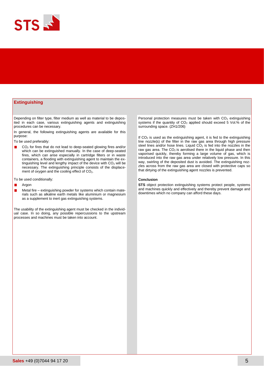

# **Extinguishing**

Depending on filter type, filter medium as well as material to be deposited in each case, various extinguishing agents and extinguishing procedures can be necessary.

In general, the following extinguishing agents are available for this purpose:

To be used preferably:

- CO<sup>2</sup> for fires that do not lead to deep-seated glowing fires and/or which can be extinguished manually. In the case of deep-seated fires, which can arise especially in cartridge filters or in waste containers, a flooding with extinguishing agent to maintain the extinguishing level and lengthy impact of the device with  $CO<sub>2</sub>$  will be necessary. The extinguishing principle consists of the displacement of oxygen and the cooling effect of CO<sub>2</sub>.
- To be used conditionally:
- п Argon
- Metal fire extinguishing powder for systems which contain mate- $\blacksquare$ rials such as alkaline earth metals like aluminium or magnesium as a supplement to inert gas extinguishing systems.

The usability of the extinguishing agent must be checked in the individual case. In so doing, any possible repercussions to the upstream processes and machines must be taken into account.

Personal protection measures must be taken with  $CO<sub>2</sub>$  extinguishing systems if the quantity of  $CO<sub>2</sub>$  applied should exceed 5 Vol.% of the surrounding space. (ZH1/206)

If  $CO<sub>2</sub>$  is used as the extinguishing agent, it is fed to the extinguishing line nozzle(s) of the filter in the raw gas area through high pressure steel lines and/or hose lines. Liquid  $CO<sub>2</sub>$  is fed into the nozzles in the raw gas area. The  $CO<sub>2</sub>$  is aerolised there in the liquid phase and then vaporised quickly, thereby forming a large volume of gas, which is introduced into the raw gas area under relatively low pressure. In this way, swirling of the deposited dust is avoided. The extinguishing nozzles across from the raw gas area are closed with protective caps so that dirtying of the extinguishing agent nozzles is prevented.

#### **Conclusion**

**STS** object protection extinguishing systems protect people, systems and machines quickly and effectively and thereby prevent damage and downtimes which no company can afford these days.